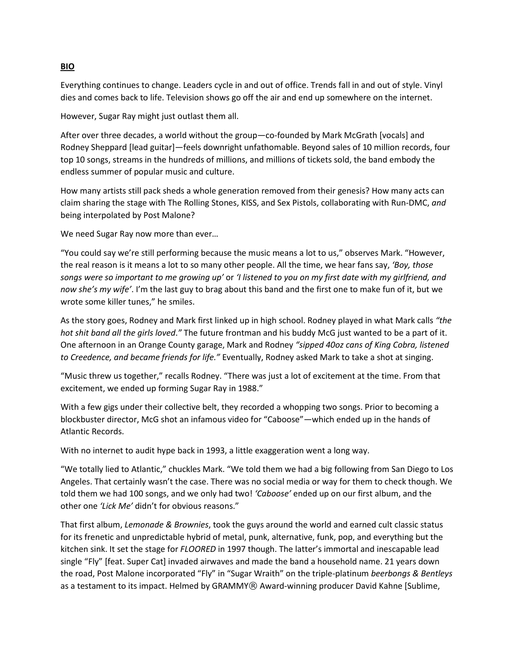## **BIO**

Everything continues to change. Leaders cycle in and out of office. Trends fall in and out of style. Vinyl dies and comes back to life. Television shows go off the air and end up somewhere on the internet.

However, Sugar Ray might just outlast them all.

After over three decades, a world without the group—co-founded by Mark McGrath [vocals] and Rodney Sheppard [lead guitar]—feels downright unfathomable. Beyond sales of 10 million records, four top 10 songs, streams in the hundreds of millions, and millions of tickets sold, the band embody the endless summer of popular music and culture.

How many artists still pack sheds a whole generation removed from their genesis? How many acts can claim sharing the stage with The Rolling Stones, KISS, and Sex Pistols, collaborating with Run-DMC, *and* being interpolated by Post Malone?

We need Sugar Ray now more than ever…

"You could say we're still performing because the music means a lot to us," observes Mark. "However, the real reason is it means a lot to so many other people. All the time, we hear fans say, *'Boy, those songs were so important to me growing up'* or *'I listened to you on my first date with my girlfriend, and now she's my wife'*. I'm the last guy to brag about this band and the first one to make fun of it, but we wrote some killer tunes," he smiles.

As the story goes, Rodney and Mark first linked up in high school. Rodney played in what Mark calls *"the hot shit band all the girls loved*.*"* The future frontman and his buddy McG just wanted to be a part of it. One afternoon in an Orange County garage, Mark and Rodney *"sipped 40oz cans of King Cobra, listened to Creedence, and became friends for life."* Eventually, Rodney asked Mark to take a shot at singing.

"Music threw us together," recalls Rodney. "There was just a lot of excitement at the time. From that excitement, we ended up forming Sugar Ray in 1988."

With a few gigs under their collective belt, they recorded a whopping two songs. Prior to becoming a blockbuster director, McG shot an infamous video for "Caboose"—which ended up in the hands of Atlantic Records.

With no internet to audit hype back in 1993, a little exaggeration went a long way.

"We totally lied to Atlantic," chuckles Mark. "We told them we had a big following from San Diego to Los Angeles. That certainly wasn't the case. There was no social media or way for them to check though. We told them we had 100 songs, and we only had two! *'Caboose'* ended up on our first album, and the other one *'Lick Me'* didn't for obvious reasons."

That first album, *Lemonade & Brownies*, took the guys around the world and earned cult classic status for its frenetic and unpredictable hybrid of metal, punk, alternative, funk, pop, and everything but the kitchen sink. It set the stage for *FLOORED* in 1997 though. The latter's immortal and inescapable lead single "Fly" [feat. Super Cat] invaded airwaves and made the band a household name. 21 years down the road, Post Malone incorporated "Fly" in "Sugar Wraith" on the triple-platinum *beerbongs & Bentleys*  as a testament to its impact. Helmed by GRAMMY® Award-winning producer David Kahne [Sublime,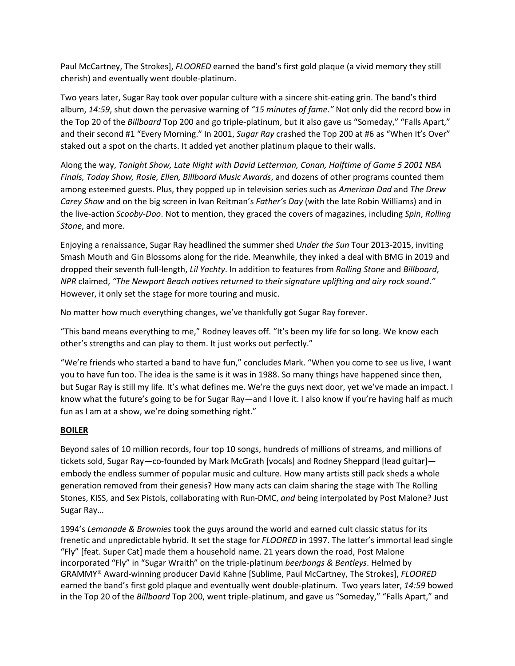Paul McCartney, The Strokes], *FLOORED* earned the band's first gold plaque (a vivid memory they still cherish) and eventually went double-platinum.

Two years later, Sugar Ray took over popular culture with a sincere shit-eating grin. The band's third album, *14:59*, shut down the pervasive warning of *"15 minutes of fame*.*"* Not only did the record bow in the Top 20 of the *Billboard* Top 200 and go triple-platinum, but it also gave us "Someday," "Falls Apart," and their second #1 "Every Morning." In 2001, *Sugar Ray* crashed the Top 200 at #6 as "When It's Over" staked out a spot on the charts. It added yet another platinum plaque to their walls.

Along the way, *Tonight Show, Late Night with David Letterman, Conan, Halftime of Game 5 2001 NBA Finals, Today Show, Rosie, Ellen, Billboard Music Awards*, and dozens of other programs counted them among esteemed guests. Plus, they popped up in television series such as *American Dad* and *The Drew Carey Show* and on the big screen in Ivan Reitman's *Father's Day* (with the late Robin Williams) and in the live-action *Scooby-Doo*. Not to mention, they graced the covers of magazines, including *Spin*, *Rolling Stone*, and more.

Enjoying a renaissance, Sugar Ray headlined the summer shed *Under the Sun* Tour 2013-2015, inviting Smash Mouth and Gin Blossoms along for the ride. Meanwhile, they inked a deal with BMG in 2019 and dropped their seventh full-length, *Lil Yachty*. In addition to features from *Rolling Stone* and *Billboard*, *NPR* claimed, *"The Newport Beach natives returned to their signature uplifting and airy rock sound*.*"*  However, it only set the stage for more touring and music.

No matter how much everything changes, we've thankfully got Sugar Ray forever.

"This band means everything to me," Rodney leaves off. "It's been my life for so long. We know each other's strengths and can play to them. It just works out perfectly."

"We're friends who started a band to have fun," concludes Mark. "When you come to see us live, I want you to have fun too. The idea is the same is it was in 1988. So many things have happened since then, but Sugar Ray is still my life. It's what defines me. We're the guys next door, yet we've made an impact. I know what the future's going to be for Sugar Ray—and I love it. I also know if you're having half as much fun as I am at a show, we're doing something right."

## **BOILER**

Beyond sales of 10 million records, four top 10 songs, hundreds of millions of streams, and millions of tickets sold, Sugar Ray—co-founded by Mark McGrath [vocals] and Rodney Sheppard [lead guitar] embody the endless summer of popular music and culture. How many artists still pack sheds a whole generation removed from their genesis? How many acts can claim sharing the stage with The Rolling Stones, KISS, and Sex Pistols, collaborating with Run-DMC, *and* being interpolated by Post Malone? Just Sugar Ray…

1994's *Lemonade & Brownies* took the guys around the world and earned cult classic status for its frenetic and unpredictable hybrid. It set the stage for *FLOORED* in 1997. The latter's immortal lead single "Fly" [feat. Super Cat] made them a household name. 21 years down the road, Post Malone incorporated "Fly" in "Sugar Wraith" on the triple-platinum *beerbongs & Bentleys*. Helmed by GRAMMY® Award-winning producer David Kahne [Sublime, Paul McCartney, The Strokes], *FLOORED* earned the band's first gold plaque and eventually went double-platinum. Two years later, *14:59* bowed in the Top 20 of the *Billboard* Top 200, went triple-platinum, and gave us "Someday," "Falls Apart," and